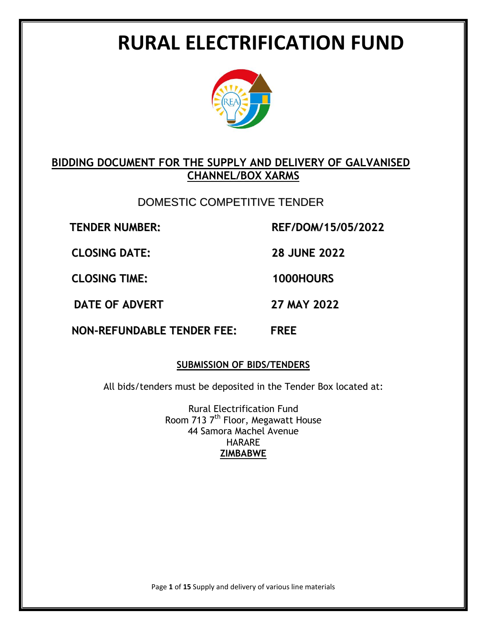# **RURAL ELECTRIFICATION FUND**



# **BIDDING DOCUMENT FOR THE SUPPLY AND DELIVERY OF GALVANISED CHANNEL/BOX XARMS**

# DOMESTIC COMPETITIVE TENDER

**TENDER NUMBER: REF/DOM/15/05/2022**

**CLOSING DATE: 28 JUNE 2022**

**CLOSING TIME: 1000HOURS**

**DATE OF ADVERT 27 MAY 2022**

**NON-REFUNDABLE TENDER FEE: FREE**

# **SUBMISSION OF BIDS/TENDERS**

All bids/tenders must be deposited in the Tender Box located at:

Rural Electrification Fund Room 713 7<sup>th</sup> Floor, Megawatt House 44 Samora Machel Avenue HARARE **ZIMBABWE**

Page **1** of **15** Supply and delivery of various line materials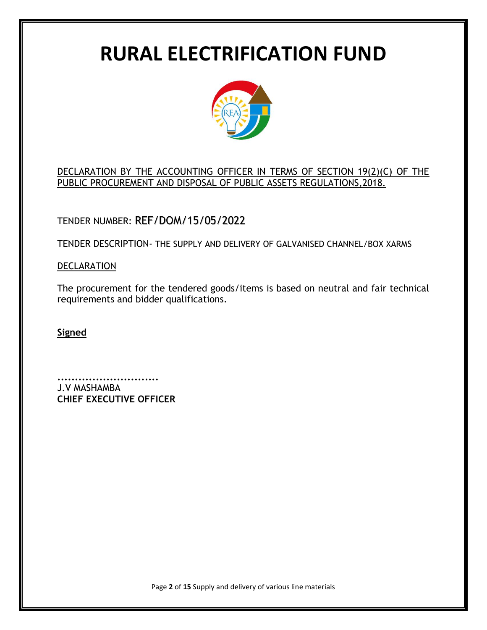# **RURAL ELECTRIFICATION FUND**



DECLARATION BY THE ACCOUNTING OFFICER IN TERMS OF SECTION 19(2)(C) OF THE PUBLIC PROCUREMENT AND DISPOSAL OF PUBLIC ASSETS REGULATIONS,2018.

TENDER NUMBER: REF/DOM/15/05/2022

TENDER DESCRIPTION- THE SUPPLY AND DELIVERY OF GALVANISED CHANNEL/BOX XARMS

**DECLARATION** 

The procurement for the tendered goods/items is based on neutral and fair technical requirements and bidder qualifications.

**Signed**

**.............................** J.V MASHAMBA **CHIEF EXECUTIVE OFFICER**

Page **2** of **15** Supply and delivery of various line materials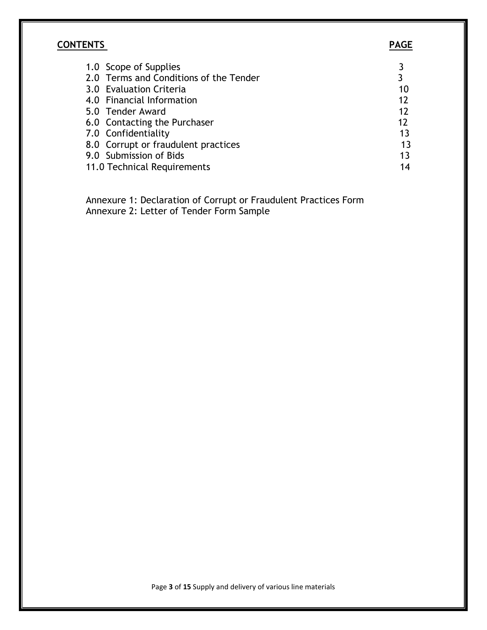# **CONTENTS PAGE**

| 1.0 Scope of Supplies                  |    |
|----------------------------------------|----|
| 2.0 Terms and Conditions of the Tender | 3  |
| 3.0 Evaluation Criteria                | 10 |
| 4.0 Financial Information              | 12 |
| 5.0 Tender Award                       | 12 |
| 6.0 Contacting the Purchaser           | 12 |
| 7.0 Confidentiality                    | 13 |
| 8.0 Corrupt or fraudulent practices    | 13 |
| 9.0 Submission of Bids                 | 13 |
| 11.0 Technical Requirements            | 14 |

 Annexure 1: Declaration of Corrupt or Fraudulent Practices Form Annexure 2: Letter of Tender Form Sample

Page **3** of **15** Supply and delivery of various line materials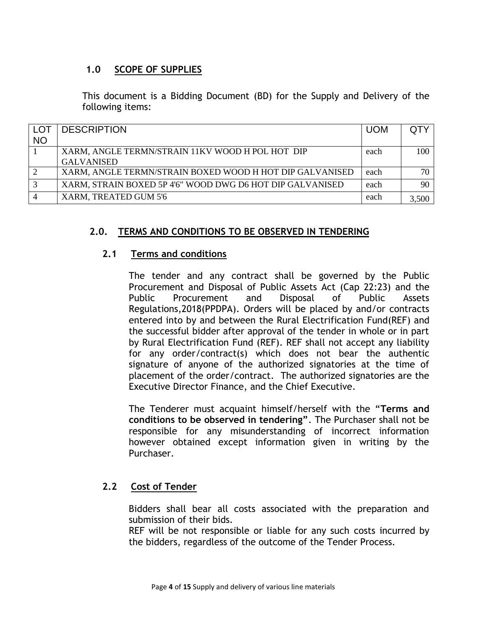#### **1.0 SCOPE OF SUPPLIES**

This document is a Bidding Document (BD) for the Supply and Delivery of the following items:

| <b>LOT</b>   | <b>DESCRIPTION</b>                                        | <b>UOM</b> |       |
|--------------|-----------------------------------------------------------|------------|-------|
| <b>NO</b>    |                                                           |            |       |
|              | XARM, ANGLE TERMN/STRAIN 11KV WOOD H POL HOT DIP          | each       | 100   |
|              | <b>GALVANISED</b>                                         |            |       |
| 2            | XARM, ANGLE TERMN/STRAIN BOXED WOOD H HOT DIP GALVANISED  | each       | 70-   |
| $\mathbf{c}$ | XARM, STRAIN BOXED 5P 4'6" WOOD DWG D6 HOT DIP GALVANISED | each       | 90    |
|              | XARM, TREATED GUM 5'6                                     | each       | 3,500 |

#### **2.0. TERMS AND CONDITIONS TO BE OBSERVED IN TENDERING**

#### **2.1 Terms and conditions**

The tender and any contract shall be governed by the Public Procurement and Disposal of Public Assets Act (Cap 22:23) and the Public Procurement and Disposal of Public Assets Regulations,2018(PPDPA). Orders will be placed by and/or contracts entered into by and between the Rural Electrification Fund(REF) and the successful bidder after approval of the tender in whole or in part by Rural Electrification Fund (REF). REF shall not accept any liability for any order/contract(s) which does not bear the authentic signature of anyone of the authorized signatories at the time of placement of the order/contract. The authorized signatories are the Executive Director Finance, and the Chief Executive.

The Tenderer must acquaint himself/herself with the "**Terms and conditions to be observed in tendering"**. The Purchaser shall not be responsible for any misunderstanding of incorrect information however obtained except information given in writing by the Purchaser.

#### **2.2 Cost of Tender**

Bidders shall bear all costs associated with the preparation and submission of their bids.

REF will be not responsible or liable for any such costs incurred by the bidders, regardless of the outcome of the Tender Process.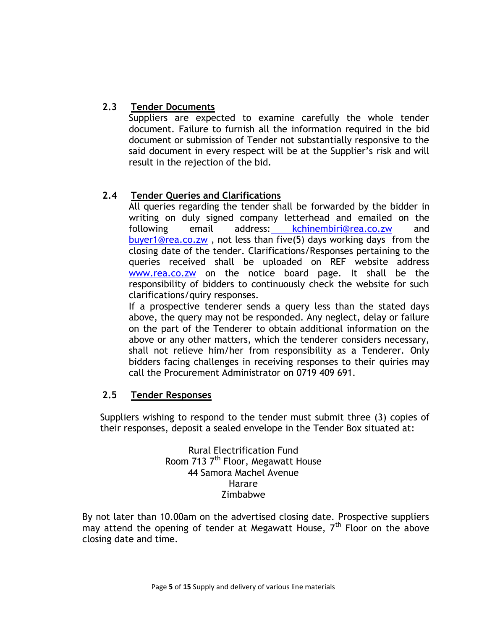# **2.3 Tender Documents**

Suppliers are expected to examine carefully the whole tender document. Failure to furnish all the information required in the bid document or submission of Tender not substantially responsive to the said document in every respect will be at the Supplier's risk and will result in the rejection of the bid.

#### **2.4 Tender Queries and Clarifications**

All queries regarding the tender shall be forwarded by the bidder in writing on duly signed company letterhead and emailed on the following email address: [kchinembiri@rea.co.zw](mailto:%20kchinembiri@rea.co.zw) and [buyer1@rea.co.zw](mailto:buyer1@rea.co.zw) , not less than five(5) days working days from the closing date of the tender. Clarifications/Responses pertaining to the queries received shall be uploaded on REF website address [www.rea.co.zw](http://www.rea.co.zw/) on the notice board page. It shall be the responsibility of bidders to continuously check the website for such clarifications/quiry responses.

If a prospective tenderer sends a query less than the stated days above, the query may not be responded. Any neglect, delay or failure on the part of the Tenderer to obtain additional information on the above or any other matters, which the tenderer considers necessary, shall not relieve him/her from responsibility as a Tenderer. Only bidders facing challenges in receiving responses to their quiries may call the Procurement Administrator on 0719 409 691.

#### **2.5 Tender Responses**

Suppliers wishing to respond to the tender must submit three (3) copies of their responses, deposit a sealed envelope in the Tender Box situated at:

> Rural Electrification Fund Room 713 7<sup>th</sup> Floor, Megawatt House 44 Samora Machel Avenue Harare Zimbabwe

By not later than 10.00am on the advertised closing date. Prospective suppliers may attend the opening of tender at Megawatt House,  $7<sup>th</sup>$  Floor on the above closing date and time.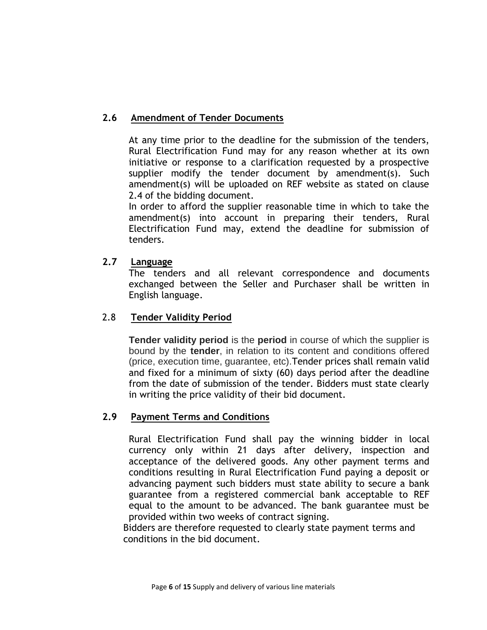# **2.6 Amendment of Tender Documents**

At any time prior to the deadline for the submission of the tenders, Rural Electrification Fund may for any reason whether at its own initiative or response to a clarification requested by a prospective supplier modify the tender document by amendment(s). Such amendment(s) will be uploaded on REF website as stated on clause 2.4 of the bidding document.

In order to afford the supplier reasonable time in which to take the amendment(s) into account in preparing their tenders, Rural Electrification Fund may, extend the deadline for submission of tenders.

#### **2.7 Language**

The tenders and all relevant correspondence and documents exchanged between the Seller and Purchaser shall be written in English language.

#### 2.8 **Tender Validity Period**

**Tender validity period** is the **period** in course of which the supplier is bound by the **tender**, in relation to its content and conditions offered (price, execution time, guarantee, etc).Tender prices shall remain valid and fixed for a minimum of sixty (60) days period after the deadline from the date of submission of the tender. Bidders must state clearly in writing the price validity of their bid document.

#### **2.9 Payment Terms and Conditions**

Rural Electrification Fund shall pay the winning bidder in local currency only within 21 days after delivery, inspection and acceptance of the delivered goods. Any other payment terms and conditions resulting in Rural Electrification Fund paying a deposit or advancing payment such bidders must state ability to secure a bank guarantee from a registered commercial bank acceptable to REF equal to the amount to be advanced. The bank guarantee must be provided within two weeks of contract signing.

 Bidders are therefore requested to clearly state payment terms and conditions in the bid document.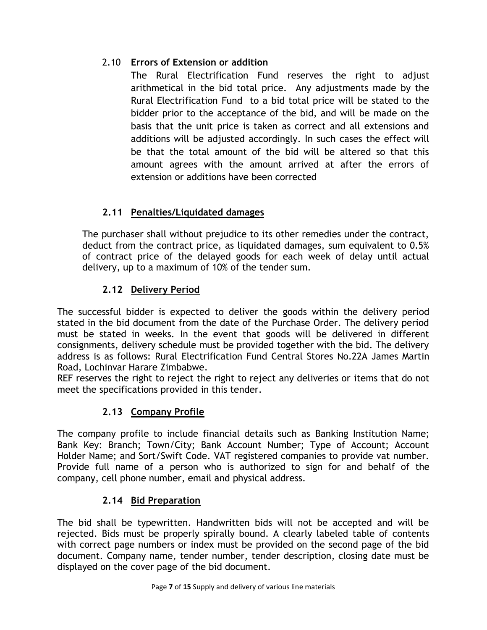# 2.10 **Errors of Extension or addition**

The Rural Electrification Fund reserves the right to adjust arithmetical in the bid total price. Any adjustments made by the Rural Electrification Fund to a bid total price will be stated to the bidder prior to the acceptance of the bid, and will be made on the basis that the unit price is taken as correct and all extensions and additions will be adjusted accordingly. In such cases the effect will be that the total amount of the bid will be altered so that this amount agrees with the amount arrived at after the errors of extension or additions have been corrected

# **2.11 Penalties/Liquidated damages**

The purchaser shall without prejudice to its other remedies under the contract, deduct from the contract price, as liquidated damages, sum equivalent to 0.5% of contract price of the delayed goods for each week of delay until actual delivery, up to a maximum of 10% of the tender sum.

# **2.12 Delivery Period**

The successful bidder is expected to deliver the goods within the delivery period stated in the bid document from the date of the Purchase Order. The delivery period must be stated in weeks. In the event that goods will be delivered in different consignments, delivery schedule must be provided together with the bid. The delivery address is as follows: Rural Electrification Fund Central Stores No.22A James Martin Road, Lochinvar Harare Zimbabwe.

REF reserves the right to reject the right to reject any deliveries or items that do not meet the specifications provided in this tender.

# **2.13 Company Profile**

The company profile to include financial details such as Banking Institution Name; Bank Key: Branch; Town/City; Bank Account Number; Type of Account; Account Holder Name; and Sort/Swift Code. VAT registered companies to provide vat number. Provide full name of a person who is authorized to sign for and behalf of the company, cell phone number, email and physical address.

# **2.14 Bid Preparation**

The bid shall be typewritten. Handwritten bids will not be accepted and will be rejected. Bids must be properly spirally bound. A clearly labeled table of contents with correct page numbers or index must be provided on the second page of the bid document. Company name, tender number, tender description, closing date must be displayed on the cover page of the bid document.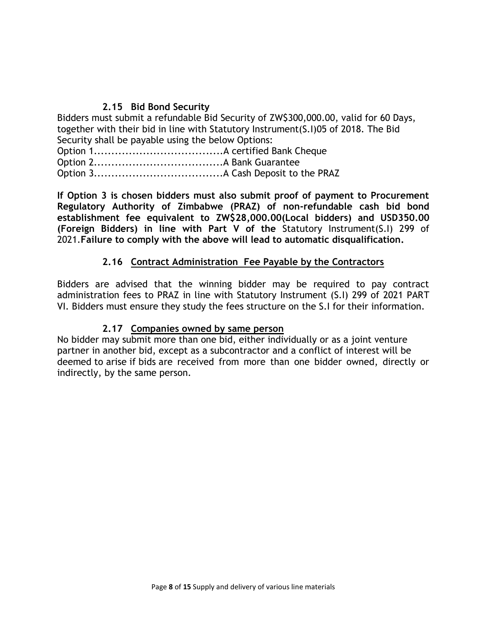### **2.15 Bid Bond Security**

Bidders must submit a refundable Bid Security of ZW\$300,000.00, valid for 60 Days, together with their bid in line with Statutory Instrument(S.I)05 of 2018. The Bid Security shall be payable using the below Options:

Option 1.....................................A certified Bank Cheque Option 2.....................................A Bank Guarantee Option 3.....................................A Cash Deposit to the PRAZ

**If Option 3 is chosen bidders must also submit proof of payment to Procurement Regulatory Authority of Zimbabwe (PRAZ) of non-refundable cash bid bond establishment fee equivalent to ZW\$28,000.00(Local bidders) and USD350.00 (Foreign Bidders) in line with Part V of the** Statutory Instrument(S.I) 299 of 2021.**Failure to comply with the above will lead to automatic disqualification.**

#### **2.16 Contract Administration Fee Payable by the Contractors**

Bidders are advised that the winning bidder may be required to pay contract administration fees to PRAZ in line with Statutory Instrument (S.I) 299 of 2021 PART VI. Bidders must ensure they study the fees structure on the S.I for their information.

#### **2.17 Companies owned by same person**

No bidder may submit more than one bid, either individually or as a joint venture partner in another bid, except as a subcontractor and a conflict of interest will be deemed to arise if bids are received from more than one bidder owned, directly or indirectly, by the same person.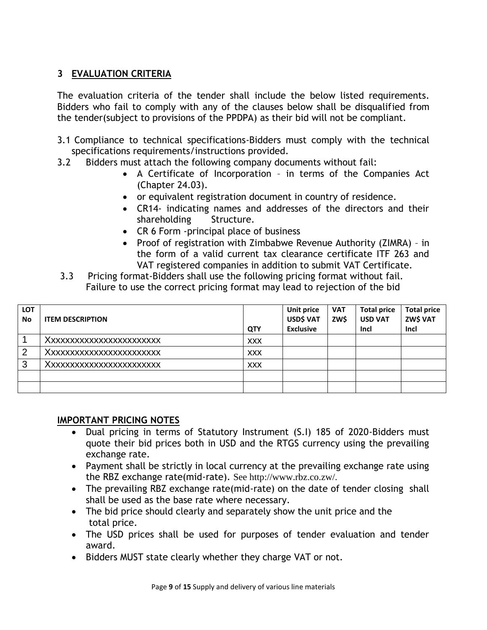# **3 EVALUATION CRITERIA**

The evaluation criteria of the tender shall include the below listed requirements. Bidders who fail to comply with any of the clauses below shall be disqualified from the tender(subject to provisions of the PPDPA) as their bid will not be compliant.

- 3.1 Compliance to technical specifications-Bidders must comply with the technical specifications requirements/instructions provided.
- 3.2 Bidders must attach the following company documents without fail:
	- A Certificate of Incorporation in terms of the Companies Act (Chapter 24.03).
	- or equivalent registration document in country of residence.
	- CR14- indicating names and addresses of the directors and their shareholding Structure.
	- CR 6 Form -principal place of business
	- Proof of registration with Zimbabwe Revenue Authority (ZIMRA) in the form of a valid current tax clearance certificate ITF 263 and VAT registered companies in addition to submit VAT Certificate.
- 3.3 Pricing format-Bidders shall use the following pricing format without fail. Failure to use the correct pricing format may lead to rejection of the bid

| <b>LOT</b><br><b>No</b> | <b>ITEM DESCRIPTION</b> | QTY        | <b>Unit price</b><br>USD\$ VAT<br><b>Exclusive</b> | <b>VAT</b><br>ZW\$ | <b>Total price</b><br><b>USD VAT</b><br>Incl | <b>Total price</b><br>ZW\$ VAT<br>Incl |
|-------------------------|-------------------------|------------|----------------------------------------------------|--------------------|----------------------------------------------|----------------------------------------|
|                         | Xxxxxxxxxxxxxxxxxxxxx   | <b>XXX</b> |                                                    |                    |                                              |                                        |
| 2                       | Xxxxxxxxxxxxxxxxxxxxxx  | <b>XXX</b> |                                                    |                    |                                              |                                        |
| 3                       | Xxxxxxxxxxxxxxxxxxxxx   | <b>XXX</b> |                                                    |                    |                                              |                                        |
|                         |                         |            |                                                    |                    |                                              |                                        |
|                         |                         |            |                                                    |                    |                                              |                                        |

#### **IMPORTANT PRICING NOTES**

- Dual pricing in terms of Statutory Instrument (S.I) 185 of 2020-Bidders must quote their bid prices both in USD and the RTGS currency using the prevailing exchange rate.
- Payment shall be strictly in local currency at the prevailing exchange rate using the RBZ exchange rate(mid-rate). See http://www.rbz.co.zw/.
- The prevailing RBZ exchange rate(mid-rate) on the date of tender closing shall shall be used as the base rate where necessary.
- The bid price should clearly and separately show the unit price and the total price.
- The USD prices shall be used for purposes of tender evaluation and tender award.
- Bidders MUST state clearly whether they charge VAT or not.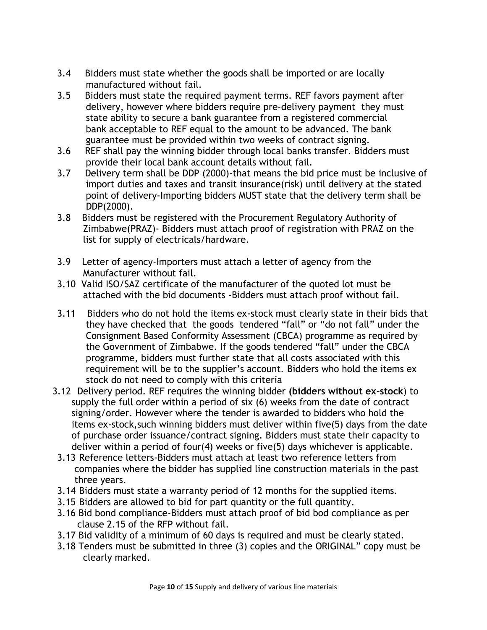- 3.4 Bidders must state whether the goods shall be imported or are locally manufactured without fail.
- 3.5 Bidders must state the required payment terms. REF favors payment after delivery, however where bidders require pre-delivery payment they must state ability to secure a bank guarantee from a registered commercial bank acceptable to REF equal to the amount to be advanced. The bank guarantee must be provided within two weeks of contract signing.
- 3.6 REF shall pay the winning bidder through local banks transfer. Bidders must provide their local bank account details without fail.
- 3.7 Delivery term shall be DDP (2000)-that means the bid price must be inclusive of import duties and taxes and transit insurance(risk) until delivery at the stated point of delivery-Importing bidders MUST state that the delivery term shall be DDP(2000).
- 3.8 Bidders must be registered with the Procurement Regulatory Authority of Zimbabwe(PRAZ)- Bidders must attach proof of registration with PRAZ on the list for supply of electricals/hardware.
- 3.9 Letter of agency-Importers must attach a letter of agency from the Manufacturer without fail.
- 3.10 Valid ISO/SAZ certificate of the manufacturer of the quoted lot must be attached with the bid documents -Bidders must attach proof without fail.
- 3.11 Bidders who do not hold the items ex-stock must clearly state in their bids that they have checked that the goods tendered "fall" or "do not fall" under the Consignment Based Conformity Assessment (CBCA) programme as required by the Government of Zimbabwe. If the goods tendered "fall" under the CBCA programme, bidders must further state that all costs associated with this requirement will be to the supplier's account. Bidders who hold the items ex stock do not need to comply with this criteria
- 3.12 Delivery period. REF requires the winning bidder **(bidders without ex-stock**) to supply the full order within a period of six (6) weeks from the date of contract signing/order. However where the tender is awarded to bidders who hold the items ex-stock,such winning bidders must deliver within five(5) days from the date of purchase order issuance/contract signing. Bidders must state their capacity to deliver within a period of four(4) weeks or five(5) days whichever is applicable.
- 3.13 Reference letters-Bidders must attach at least two reference letters from companies where the bidder has supplied line construction materials in the past three years.
- 3.14 Bidders must state a warranty period of 12 months for the supplied items.
- 3.15 Bidders are allowed to bid for part quantity or the full quantity.
- 3.16 Bid bond compliance-Bidders must attach proof of bid bod compliance as per clause 2.15 of the RFP without fail.
- 3.17 Bid validity of a minimum of 60 days is required and must be clearly stated.
- 3.18 Tenders must be submitted in three (3) copies and the ORIGINAL" copy must be clearly marked.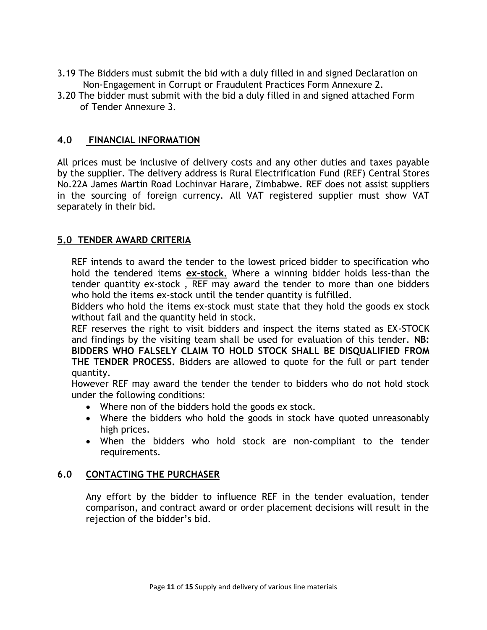- 3.19 The Bidders must submit the bid with a duly filled in and signed Declaration on Non-Engagement in Corrupt or Fraudulent Practices Form Annexure 2.
- 3.20 The bidder must submit with the bid a duly filled in and signed attached Form of Tender Annexure 3.

#### **4.0 FINANCIAL INFORMATION**

All prices must be inclusive of delivery costs and any other duties and taxes payable by the supplier. The delivery address is Rural Electrification Fund (REF) Central Stores No.22A James Martin Road Lochinvar Harare, Zimbabwe. REF does not assist suppliers in the sourcing of foreign currency. All VAT registered supplier must show VAT separately in their bid.

#### **5.0 TENDER AWARD CRITERIA**

REF intends to award the tender to the lowest priced bidder to specification who hold the tendered items **ex-stock.** Where a winning bidder holds less-than the tender quantity ex-stock , REF may award the tender to more than one bidders who hold the items ex-stock until the tender quantity is fulfilled.

Bidders who hold the items ex-stock must state that they hold the goods ex stock without fail and the quantity held in stock.

REF reserves the right to visit bidders and inspect the items stated as EX-STOCK and findings by the visiting team shall be used for evaluation of this tender. **NB: BIDDERS WHO FALSELY CLAIM TO HOLD STOCK SHALL BE DISQUALIFIED FROM THE TENDER PROCESS.** Bidders are allowed to quote for the full or part tender quantity.

However REF may award the tender the tender to bidders who do not hold stock under the following conditions:

- Where non of the bidders hold the goods ex stock.
- Where the bidders who hold the goods in stock have quoted unreasonably high prices.
- When the bidders who hold stock are non-compliant to the tender requirements.

#### **6.0 CONTACTING THE PURCHASER**

Any effort by the bidder to influence REF in the tender evaluation, tender comparison, and contract award or order placement decisions will result in the rejection of the bidder's bid.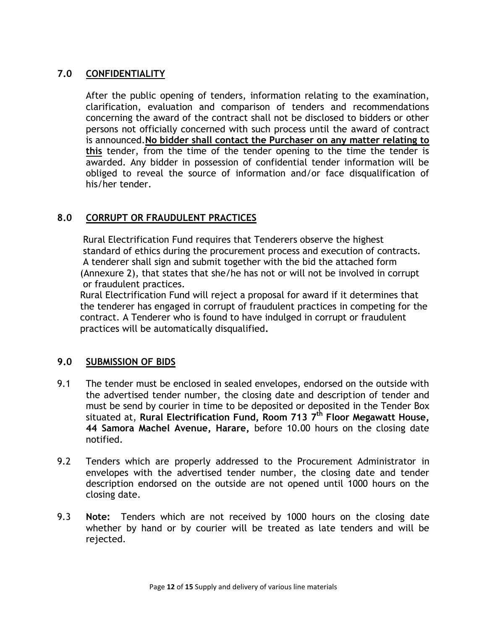# **7.0 CONFIDENTIALITY**

After the public opening of tenders, information relating to the examination, clarification, evaluation and comparison of tenders and recommendations concerning the award of the contract shall not be disclosed to bidders or other persons not officially concerned with such process until the award of contract is announced.**No bidder shall contact the Purchaser on any matter relating to this** tender, from the time of the tender opening to the time the tender is awarded. Any bidder in possession of confidential tender information will be obliged to reveal the source of information and/or face disqualification of his/her tender.

#### **8.0 CORRUPT OR FRAUDULENT PRACTICES**

 Rural Electrification Fund requires that Tenderers observe the highest standard of ethics during the procurement process and execution of contracts. A tenderer shall sign and submit together with the bid the attached form (Annexure 2), that states that she/he has not or will not be involved in corrupt or fraudulent practices.

 Rural Electrification Fund will reject a proposal for award if it determines that the tenderer has engaged in corrupt of fraudulent practices in competing for the contract. A Tenderer who is found to have indulged in corrupt or fraudulent practices will be automatically disqualified**.**

#### **9.0 SUBMISSION OF BIDS**

- 9.1 The tender must be enclosed in sealed envelopes, endorsed on the outside with the advertised tender number, the closing date and description of tender and must be send by courier in time to be deposited or deposited in the Tender Box situated at, **Rural Electrification Fund, Room 713 7 th Floor Megawatt House, 44 Samora Machel Avenue, Harare,** before 10.00 hours on the closing date notified.
- 9.2 Tenders which are properly addressed to the Procurement Administrator in envelopes with the advertised tender number, the closing date and tender description endorsed on the outside are not opened until 1000 hours on the closing date.
- 9.3 **Note:** Tenders which are not received by 1000 hours on the closing date whether by hand or by courier will be treated as late tenders and will be rejected.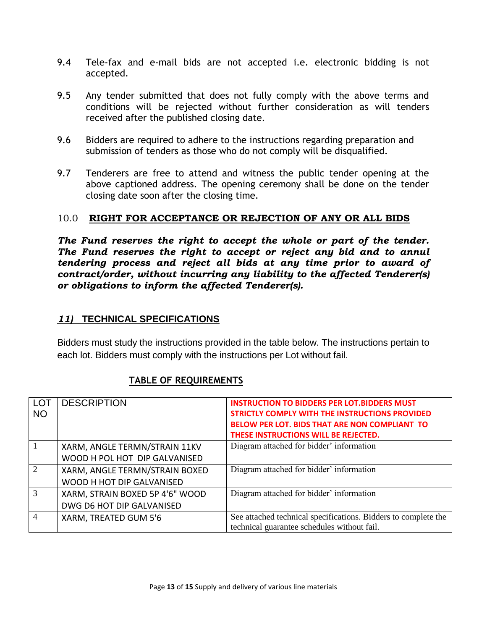- 9.4 Tele-fax and e-mail bids are not accepted i.e. electronic bidding is not accepted.
- 9.5 Any tender submitted that does not fully comply with the above terms and conditions will be rejected without further consideration as will tenders received after the published closing date.
- 9.6 Bidders are required to adhere to the instructions regarding preparation and submission of tenders as those who do not comply will be disqualified.
- 9.7 Tenderers are free to attend and witness the public tender opening at the above captioned address. The opening ceremony shall be done on the tender closing date soon after the closing time.

#### 10.0 **RIGHT FOR ACCEPTANCE OR REJECTION OF ANY OR ALL BIDS**

*The Fund reserves the right to accept the whole or part of the tender. The Fund reserves the right to accept or reject any bid and to annul tendering process and reject all bids at any time prior to award of contract/order, without incurring any liability to the affected Tenderer(s) or obligations to inform the affected Tenderer(s).*

#### *11)* **TECHNICAL SPECIFICATIONS**

Bidders must study the instructions provided in the table below. The instructions pertain to each lot. Bidders must comply with the instructions per Lot without fail.

# **TABLE OF REQUIREMENTS**

| <b>LOT</b>                  | <b>DESCRIPTION</b>              | <b>INSTRUCTION TO BIDDERS PER LOT.BIDDERS MUST</b>             |
|-----------------------------|---------------------------------|----------------------------------------------------------------|
| <b>NO</b>                   |                                 | STRICTLY COMPLY WITH THE INSTRUCTIONS PROVIDED                 |
|                             |                                 | BELOW PER LOT. BIDS THAT ARE NON COMPLIANT TO                  |
|                             |                                 | THESE INSTRUCTIONS WILL BE REJECTED.                           |
|                             | XARM, ANGLE TERMN/STRAIN 11KV   | Diagram attached for bidder' information                       |
|                             | WOOD H POL HOT DIP GALVANISED   |                                                                |
| $\mathcal{D}_{\mathcal{L}}$ | XARM, ANGLE TERMN/STRAIN BOXED  | Diagram attached for bidder' information                       |
|                             | WOOD H HOT DIP GALVANISED       |                                                                |
| 3                           | XARM, STRAIN BOXED 5P 4'6" WOOD | Diagram attached for bidder' information                       |
|                             | DWG D6 HOT DIP GALVANISED       |                                                                |
| $\overline{\mathcal{A}}$    | XARM, TREATED GUM 5'6           | See attached technical specifications. Bidders to complete the |
|                             |                                 | technical guarantee schedules without fail.                    |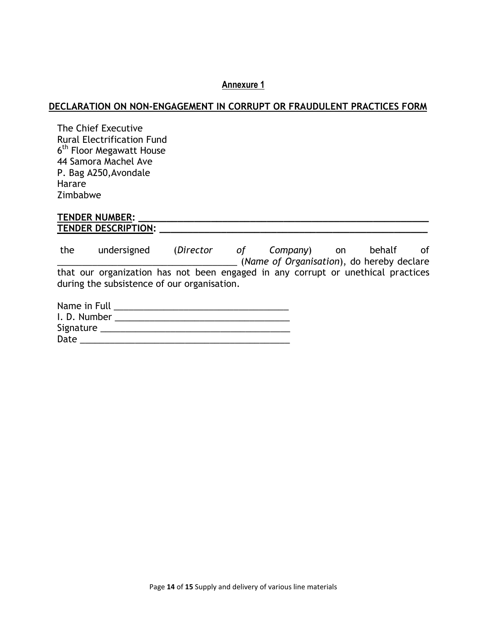#### **Annexure 1**

#### **DECLARATION ON NON-ENGAGEMENT IN CORRUPT OR FRAUDULENT PRACTICES FORM**

The Chief Executive Rural Electrification Fund 6<sup>th</sup> Floor Megawatt House 44 Samora Machel Ave P. Bag A250,Avondale Harare Zimbabwe

#### **TENDER NUMBER: \_\_\_\_\_\_\_\_\_\_\_\_\_\_\_\_\_\_\_\_\_\_\_\_\_\_\_\_\_\_\_\_\_\_\_\_\_\_\_\_\_\_\_\_\_\_\_\_\_\_\_\_ TENDER DESCRIPTION: \_\_\_\_\_\_\_\_\_\_\_\_\_\_\_\_\_\_\_\_\_\_\_\_\_\_\_\_\_\_\_\_\_\_\_\_\_\_\_\_\_\_\_\_\_\_\_\_**

the undersigned (*Director of Company*) on behalf of \_\_\_\_\_\_\_\_\_\_\_\_\_\_\_\_\_\_\_\_\_\_\_\_\_\_\_\_\_\_\_\_\_\_\_\_ (*Name of Organisation*), do hereby declare that our organization has not been engaged in any corrupt or unethical practices during the subsistence of our organisation.

| Name in Full |  |
|--------------|--|
| I. D. Number |  |
| Signature    |  |
| Date         |  |